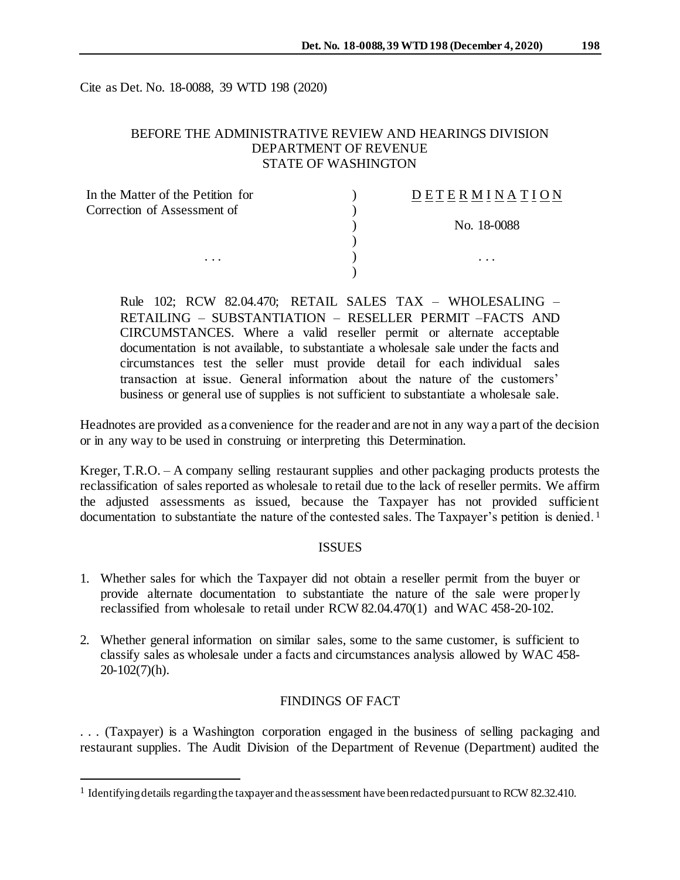Cite as Det. No. 18-0088, 39 WTD 198 (2020)

## BEFORE THE ADMINISTRATIVE REVIEW AND HEARINGS DIVISION DEPARTMENT OF REVENUE STATE OF WASHINGTON

| In the Matter of the Petition for | DETERMINATION |
|-----------------------------------|---------------|
| Correction of Assessment of       |               |
|                                   | No. 18-0088   |
|                                   |               |
| $\cdots$                          | .             |
|                                   |               |

Rule 102; RCW 82.04.470; RETAIL SALES TAX – WHOLESALING – RETAILING – SUBSTANTIATION – RESELLER PERMIT –FACTS AND CIRCUMSTANCES. Where a valid reseller permit or alternate acceptable documentation is not available, to substantiate a wholesale sale under the facts and circumstances test the seller must provide detail for each individual sales transaction at issue. General information about the nature of the customers' business or general use of supplies is not sufficient to substantiate a wholesale sale.

Headnotes are provided as a convenience for the reader and are not in any way a part of the decision or in any way to be used in construing or interpreting this Determination.

Kreger, T.R.O. – A company selling restaurant supplies and other packaging products protests the reclassification of sales reported as wholesale to retail due to the lack of reseller permits. We affirm the adjusted assessments as issued, because the Taxpayer has not provided sufficient documentation to substantiate the nature of the contested sales. The Taxpayer's petition is denied.<sup>1</sup>

### ISSUES

- 1. Whether sales for which the Taxpayer did not obtain a reseller permit from the buyer or provide alternate documentation to substantiate the nature of the sale were properly reclassified from wholesale to retail under RCW 82.04.470(1) and WAC 458-20-102.
- 2. Whether general information on similar sales, some to the same customer, is sufficient to classify sales as wholesale under a facts and circumstances analysis allowed by WAC 458- 20-102(7)(h).

#### FINDINGS OF FACT

. . . (Taxpayer) is a Washington corporation engaged in the business of selling packaging and restaurant supplies. The Audit Division of the Department of Revenue (Department) audited the

<sup>&</sup>lt;sup>1</sup> Identifying details regarding the taxpayer and the assessment have been redacted pursuant to RCW 82.32.410.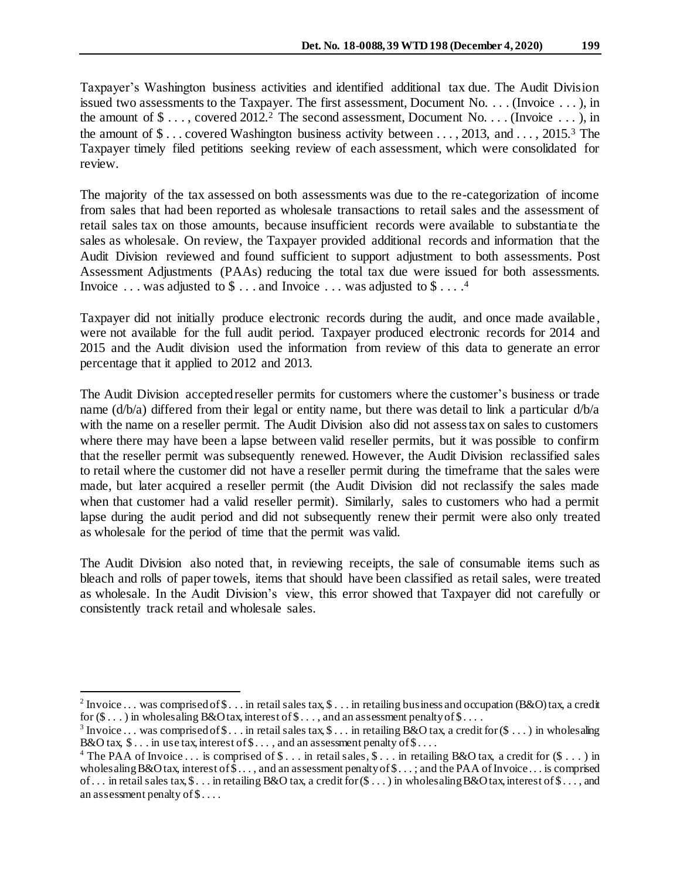Taxpayer's Washington business activities and identified additional tax due. The Audit Division issued two assessments to the Taxpayer. The first assessment, Document No. . . . (Invoice . . . ), in the amount of  $\$\dots$ , covered 2012.<sup>2</sup> The second assessment, Document No. . . . (Invoice  $\dots$  ), in the amount of  $\$ \dots$  covered Washington business activity between  $\dots$ , 2013, and  $\dots$ , 2015.<sup>3</sup> The Taxpayer timely filed petitions seeking review of each assessment, which were consolidated for review.

The majority of the tax assessed on both assessments was due to the re-categorization of income from sales that had been reported as wholesale transactions to retail sales and the assessment of retail sales tax on those amounts, because insufficient records were available to substantiate the sales as wholesale. On review, the Taxpayer provided additional records and information that the Audit Division reviewed and found sufficient to support adjustment to both assessments. Post Assessment Adjustments (PAAs) reducing the total tax due were issued for both assessments. Invoice  $\dots$  was adjusted to \$  $\dots$  and Invoice  $\dots$  was adjusted to \$  $\dots$ .

Taxpayer did not initially produce electronic records during the audit, and once made available , were not available for the full audit period. Taxpayer produced electronic records for 2014 and 2015 and the Audit division used the information from review of this data to generate an error percentage that it applied to 2012 and 2013.

The Audit Division accepted reseller permits for customers where the customer's business or trade name (d/b/a) differed from their legal or entity name, but there was detail to link a particular d/b/a with the name on a reseller permit. The Audit Division also did not assess tax on sales to customers where there may have been a lapse between valid reseller permits, but it was possible to confirm that the reseller permit was subsequently renewed. However, the Audit Division reclassified sales to retail where the customer did not have a reseller permit during the timeframe that the sales were made, but later acquired a reseller permit (the Audit Division did not reclassify the sales made when that customer had a valid reseller permit). Similarly, sales to customers who had a permit lapse during the audit period and did not subsequently renew their permit were also only treated as wholesale for the period of time that the permit was valid.

The Audit Division also noted that, in reviewing receipts, the sale of consumable items such as bleach and rolls of paper towels, items that should have been classified as retail sales, were treated as wholesale. In the Audit Division's view, this error showed that Taxpayer did not carefully or consistently track retail and wholesale sales.

<sup>&</sup>lt;sup>2</sup> Invoice ... was comprised of \$... in retail sales tax, \$... in retailing business and occupation (B&O) tax, a credit for  $(\$ \dots)$  in wholesaling B&O tax, interest of  $\$ \dots$ , and an assessment penalty of  $\$ \dots$ .

<sup>&</sup>lt;sup>3</sup> Invoice ... was comprised of  $\$\dots$  in retail sales tax,  $\$\dots$  in retailing B&O tax, a credit for  $(\$\dots)$  in wholesaling B&O tax,  $\$ \dots$  in use tax, interest of  $\$ \dots$ , and an assessment penalty of  $\$ \dots$ .

<sup>&</sup>lt;sup>4</sup> The PAA of Invoice ... is comprised of  $\$\dots$  in retail sales,  $\$\dots$  in retailing B&O tax, a credit for  $(\$\dots)$  in wholesaling  $B&O$  tax, interest of  $\$\ldots$$ , and an assessment penalty of  $\$\ldots$$ ; and the PAA of Invoice ... is comprised of... in retail sales tax,  $\$ \dots$  in retailing B&O tax, a credit for  $(\$ \dots)$  in wholesaling B&O tax, interest of  $\$ \dots$ , and an assessment penalty of \$....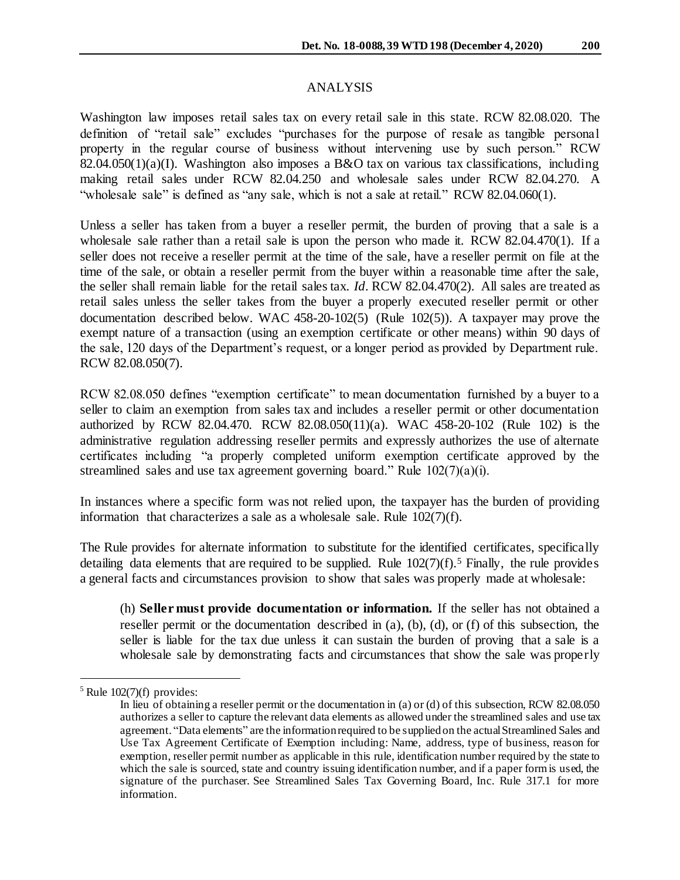## ANALYSIS

Washington law imposes retail sales tax on every retail sale in this state. RCW 82.08.020. The definition of "retail sale" excludes "purchases for the purpose of resale as tangible personal property in the regular course of business without intervening use by such person." RCW 82.04.050(1)(a)(I). Washington also imposes a B&O tax on various tax classifications, including making retail sales under RCW 82.04.250 and wholesale sales under RCW 82.04.270. A "wholesale sale" is defined as "any sale, which is not a sale at retail." RCW 82.04.060(1).

Unless a seller has taken from a buyer a reseller permit, the burden of proving that a sale is a wholesale sale rather than a retail sale is upon the person who made it. RCW 82.04.470(1). If a seller does not receive a reseller permit at the time of the sale, have a reseller permit on file at the time of the sale, or obtain a reseller permit from the buyer within a reasonable time after the sale, the seller shall remain liable for the retail sales tax. *Id.* RCW 82.04.470(2). All sales are treated as retail sales unless the seller takes from the buyer a properly executed reseller permit or other documentation described below. WAC 458-20-102(5) (Rule 102(5)). A taxpayer may prove the exempt nature of a transaction (using an exemption certificate or other means) within 90 days of the sale, 120 days of the Department's request, or a longer period as provided by Department rule. RCW 82.08.050(7).

RCW 82.08.050 defines "exemption certificate" to mean documentation furnished by a buyer to a seller to claim an exemption from sales tax and includes a reseller permit or other documentation authorized by RCW 82.04.470. RCW 82.08.050(11)(a). WAC 458-20-102 (Rule 102) is the administrative regulation addressing reseller permits and expressly authorizes the use of alternate certificates including "a properly completed uniform exemption certificate approved by the streamlined sales and use tax agreement governing board." Rule 102(7)(a)(i).

In instances where a specific form was not relied upon, the taxpayer has the burden of providing information that characterizes a sale as a wholesale sale. Rule 102(7)(f).

The Rule provides for alternate information to substitute for the identified certificates, specifically detailing data elements that are required to be supplied. Rule  $102(7)(f)$ .<sup>5</sup> Finally, the rule provides a general facts and circumstances provision to show that sales was properly made at wholesale:

(h) **Seller must provide documentation or information.** If the seller has not obtained a reseller permit or the documentation described in (a), (b), (d), or (f) of this subsection, the seller is liable for the tax due unless it can sustain the burden of proving that a sale is a wholesale sale by demonstrating facts and circumstances that show the sale was properly

 $5$  Rule 102(7)(f) provides:

In lieu of obtaining a reseller permit or the documentation in (a) or (d) of this subsection, RCW 82.08.050 authorizes a seller to capture the relevant data elements as allowed under the streamlined sales and use tax agreement. "Data elements" are the information required to be supplied on the actual Streamlined Sales and Use Tax Agreement Certificate of Exemption including: Name, address, type of business, reason for exemption, reseller permit number as applicable in this rule, identification number required by the state to which the sale is sourced, state and country issuing identification number, and if a paper form is used, the signature of the purchaser. See Streamlined Sales Tax Governing Board, Inc. Rule 317.1 for more information.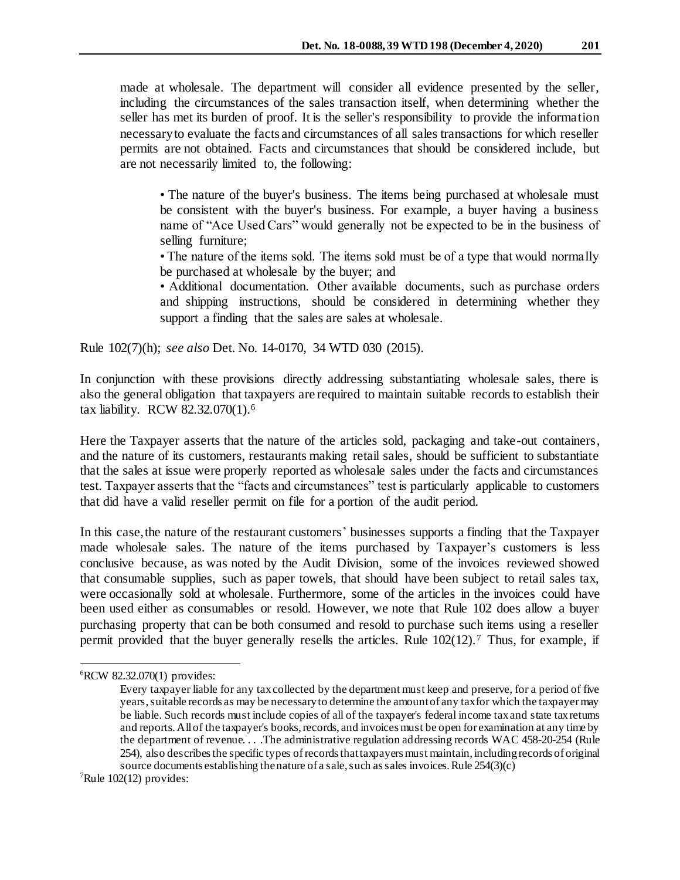made at wholesale. The department will consider all evidence presented by the seller, including the circumstances of the sales transaction itself, when determining whether the seller has met its burden of proof. It is the seller's responsibility to provide the information necessary to evaluate the facts and circumstances of all sales transactions for which reseller permits are not obtained. Facts and circumstances that should be considered include, but are not necessarily limited to, the following:

• The nature of the buyer's business. The items being purchased at wholesale must be consistent with the buyer's business. For example, a buyer having a business name of "Ace Used Cars" would generally not be expected to be in the business of selling furniture;

• The nature of the items sold. The items sold must be of a type that would normally be purchased at wholesale by the buyer; and

• Additional documentation. Other available documents, such as purchase orders and shipping instructions, should be considered in determining whether they support a finding that the sales are sales at wholesale.

Rule 102(7)(h); *see also* Det. No. 14-0170, 34 WTD 030 (2015).

In conjunction with these provisions directly addressing substantiating wholesale sales, there is also the general obligation that taxpayers are required to maintain suitable records to establish their tax liability. RCW 82.32.070(1).<sup>6</sup>

Here the Taxpayer asserts that the nature of the articles sold, packaging and take-out containers, and the nature of its customers, restaurants making retail sales, should be sufficient to substantiate that the sales at issue were properly reported as wholesale sales under the facts and circumstances test. Taxpayer asserts that the "facts and circumstances" test is particularly applicable to customers that did have a valid reseller permit on file for a portion of the audit period.

In this case, the nature of the restaurant customers' businesses supports a finding that the Taxpayer made wholesale sales. The nature of the items purchased by Taxpayer's customers is less conclusive because, as was noted by the Audit Division, some of the invoices reviewed showed that consumable supplies, such as paper towels, that should have been subject to retail sales tax, were occasionally sold at wholesale. Furthermore, some of the articles in the invoices could have been used either as consumables or resold. However, we note that Rule 102 does allow a buyer purchasing property that can be both consumed and resold to purchase such items using a reseller permit provided that the buyer generally resells the articles. Rule  $102(12)$ .<sup>7</sup> Thus, for example, if

<sup>6</sup>RCW 82.32.070(1) provides:

Every taxpayer liable for any tax collected by the department must keep and preserve, for a period of five years, suitable records as may be necessary to determine the amount of any tax for which the taxpayer may be liable. Such records must include copies of all of the taxpayer's federal income tax and state tax returns and reports. All of the taxpayer's books, records, and invoices must be open for examination at any time by the department of revenue. . . .The administrative regulation addressing records WAC 458-20-254 (Rule 254), also describes the specific types of records that taxpayers must maintain, including records of original source documents establishing the nature of a sale, such as sales invoices. Rule 254(3)(c)

 $^7$ Rule 102(12) provides: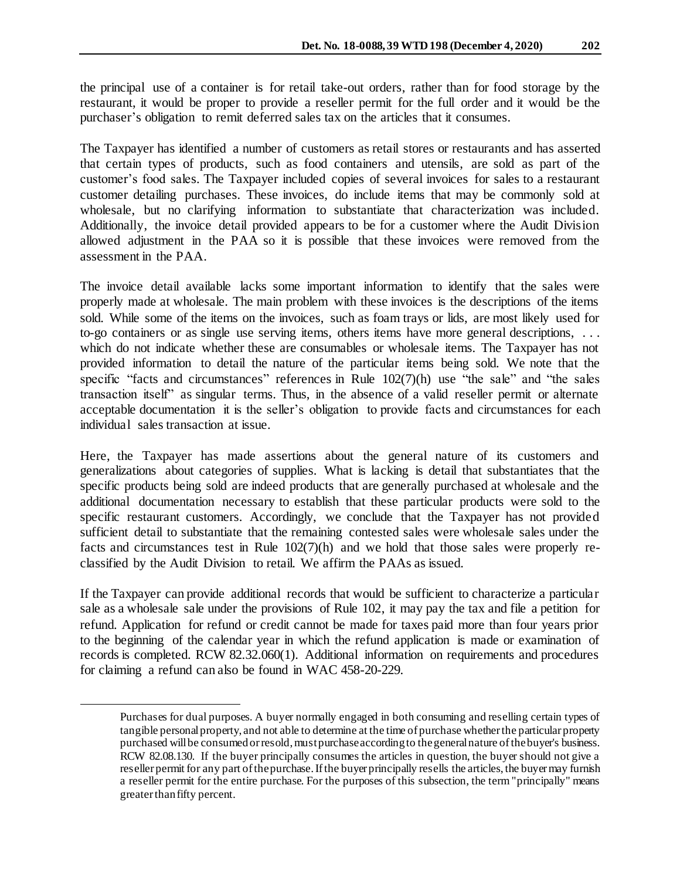the principal use of a container is for retail take-out orders, rather than for food storage by the restaurant, it would be proper to provide a reseller permit for the full order and it would be the purchaser's obligation to remit deferred sales tax on the articles that it consumes.

The Taxpayer has identified a number of customers as retail stores or restaurants and has asserted that certain types of products, such as food containers and utensils, are sold as part of the customer's food sales. The Taxpayer included copies of several invoices for sales to a restaurant customer detailing purchases. These invoices, do include items that may be commonly sold at wholesale, but no clarifying information to substantiate that characterization was included. Additionally, the invoice detail provided appears to be for a customer where the Audit Division allowed adjustment in the PAA so it is possible that these invoices were removed from the assessment in the PAA.

The invoice detail available lacks some important information to identify that the sales were properly made at wholesale. The main problem with these invoices is the descriptions of the items sold. While some of the items on the invoices, such as foam trays or lids, are most likely used for to-go containers or as single use serving items, others items have more general descriptions, . . . which do not indicate whether these are consumables or wholesale items. The Taxpayer has not provided information to detail the nature of the particular items being sold. We note that the specific "facts and circumstances" references in Rule  $102(7)(h)$  use "the sale" and "the sales transaction itself" as singular terms. Thus, in the absence of a valid reseller permit or alternate acceptable documentation it is the seller's obligation to provide facts and circumstances for each individual sales transaction at issue.

Here, the Taxpayer has made assertions about the general nature of its customers and generalizations about categories of supplies. What is lacking is detail that substantiates that the specific products being sold are indeed products that are generally purchased at wholesale and the additional documentation necessary to establish that these particular products were sold to the specific restaurant customers. Accordingly, we conclude that the Taxpayer has not provided sufficient detail to substantiate that the remaining contested sales were wholesale sales under the facts and circumstances test in Rule 102(7)(h) and we hold that those sales were properly reclassified by the Audit Division to retail. We affirm the PAAs as issued.

If the Taxpayer can provide additional records that would be sufficient to characterize a particular sale as a wholesale sale under the provisions of Rule 102, it may pay the tax and file a petition for refund. Application for refund or credit cannot be made for taxes paid more than four years prior to the beginning of the calendar year in which the refund application is made or examination of records is completed. RCW 82.32.060(1). Additional information on requirements and procedures for claiming a refund can also be found in WAC 458-20-229.

j

Purchases for dual purposes. A buyer normally engaged in both consuming and reselling certain types of tangible personal property, and not able to determine at the time of purchase whether the particular property purchased will be consumed or resold, must purchase according to the general nature of the buyer's business. RCW 82.08.130. If the buyer principally consumes the articles in question, the buyer should not give a reseller permit for any part of the purchase. If the buyer principally resells the articles, the buyer may furnish a reseller permit for the entire purchase. For the purposes of this subsection, the term "principally" means greater than fifty percent.